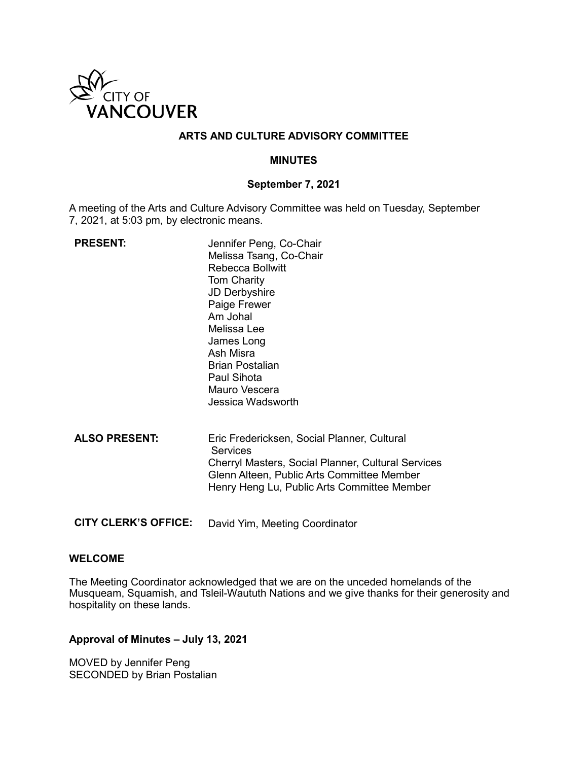

## **ARTS AND CULTURE ADVISORY COMMITTEE**

#### **MINUTES**

#### **September 7, 2021**

A meeting of the Arts and Culture Advisory Committee was held on Tuesday, September 7, 2021, at 5:03 pm, by electronic means.

| <b>PRESENT:</b>      | Jennifer Peng, Co-Chair<br>Melissa Tsang, Co-Chair<br>Rebecca Bollwitt<br><b>Tom Charity</b><br><b>JD Derbyshire</b><br>Paige Frewer<br>Am Johal<br>Melissa Lee<br>James Long<br>Ash Misra<br>Brian Postalian<br>Paul Sihota<br>Mauro Vescera<br>Jessica Wadsworth |
|----------------------|--------------------------------------------------------------------------------------------------------------------------------------------------------------------------------------------------------------------------------------------------------------------|
| <b>ALSO PRESENT:</b> | Eric Fredericksen, Social Planner, Cultural<br><b>Services</b><br>Cherryl Masters, Social Planner, Cultural Services<br>Glenn Alteen, Public Arts Committee Member<br>Henry Heng Lu, Public Arts Committee Member                                                  |

**CITY CLERK'S OFFICE:** David Yim, Meeting Coordinator

#### **WELCOME**

The Meeting Coordinator acknowledged that we are on the unceded homelands of the Musqueam, Squamish, and Tsleil-Waututh Nations and we give thanks for their generosity and hospitality on these lands.

#### **Approval of Minutes – July 13, 2021**

MOVED by Jennifer Peng SECONDED by Brian Postalian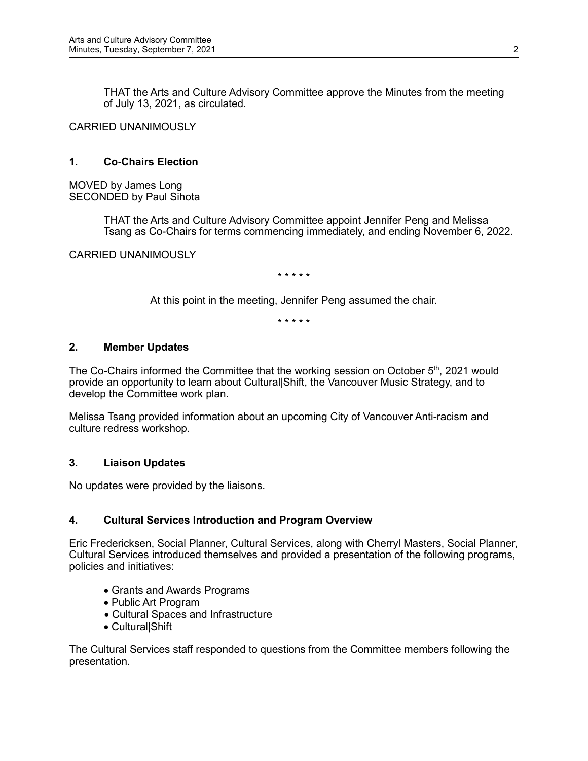THAT the Arts and Culture Advisory Committee approve the Minutes from the meeting of July 13, 2021, as circulated.

CARRIED UNANIMOUSLY

# **1. Co-Chairs Election**

MOVED by James Long SECONDED by Paul Sihota

> THAT the Arts and Culture Advisory Committee appoint Jennifer Peng and Melissa Tsang as Co-Chairs for terms commencing immediately, and ending November 6, 2022.

CARRIED UNANIMOUSLY

\* \* \* \* \*

At this point in the meeting, Jennifer Peng assumed the chair.

\* \* \* \* \*

#### **2. Member Updates**

The Co-Chairs informed the Committee that the working session on October 5<sup>th</sup>, 2021 would provide an opportunity to learn about Cultural|Shift, the Vancouver Music Strategy, and to develop the Committee work plan.

Melissa Tsang provided information about an upcoming City of Vancouver Anti-racism and culture redress workshop.

#### **3. Liaison Updates**

No updates were provided by the liaisons.

#### **4. Cultural Services Introduction and Program Overview**

Eric Fredericksen, Social Planner, Cultural Services, along with Cherryl Masters, Social Planner, Cultural Services introduced themselves and provided a presentation of the following programs, policies and initiatives:

- Grants and Awards Programs
- Public Art Program
- Cultural Spaces and Infrastructure
- Cultural|Shift

The Cultural Services staff responded to questions from the Committee members following the presentation.